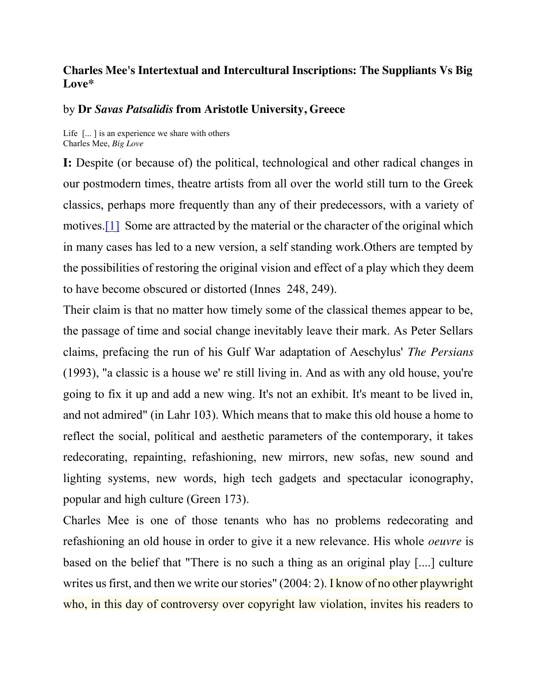### **Charles Mee's Intertextual and Intercultural Inscriptions: The Suppliants Vs Big Love\***

### by **Dr** *Savas Patsalidis* **from Aristotle University, Greece**

Life [...] is an experience we share with others Charles Mee, *Big Love*

**I:** Despite (or because of) the political, technological and other radical changes in our postmodern times, theatre artists from all over the world still turn to the Greek classics, perhaps more frequently than any of their predecessors, with a variety of motives.<sup>[1]</sup> Some are attracted by the material or the character of the original which in many cases has led to a new version, a self standing work.Others are tempted by the possibilities of restoring the original vision and effect of a play which they deem to have become obscured or distorted (Innes 248, 249).

Their claim is that no matter how timely some of the classical themes appear to be, the passage of time and social change inevitably leave their mark. As Peter Sellars claims, prefacing the run of his Gulf War adaptation of Aeschylus' *The Persians* (1993), "a classic is a house we' re still living in. And as with any old house, you're going to fix it up and add a new wing. It's not an exhibit. It's meant to be lived in, and not admired" (in Lahr 103). Which means that to make this old house a home to reflect the social, political and aesthetic parameters of the contemporary, it takes redecorating, repainting, refashioning, new mirrors, new sofas, new sound and lighting systems, new words, high tech gadgets and spectacular iconography, popular and high culture (Green 173).

Charles Mee is one of those tenants who has no problems redecorating and refashioning an old house in order to give it a new relevance. His whole *oeuvre* is based on the belief that "There is no such a thing as an original play [....] culture writes us first, and then we write our stories" (2004: 2). **I know of no other playwright** who, in this day of controversy over copyright law violation, invites his readers to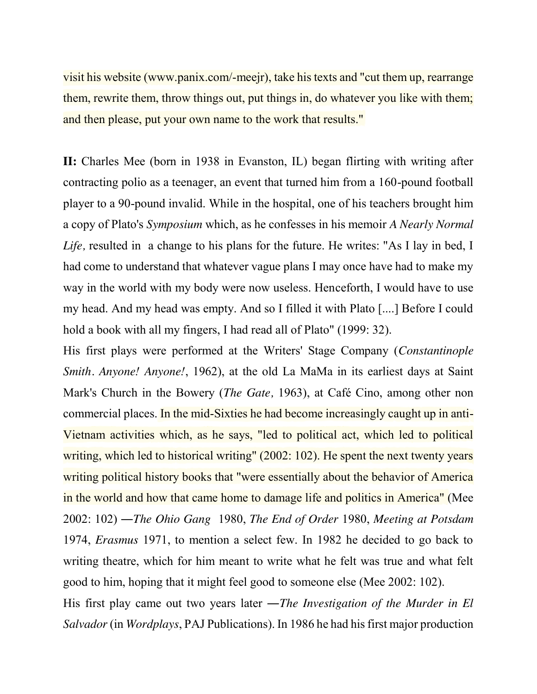visit his website (www.panix.com/-meejr), take his texts and "cut them up, rearrange them, rewrite them, throw things out, put things in, do whatever you like with them; and then please, put your own name to the work that results."

**II:** Charles Mee (born in 1938 in Evanston, IL) began flirting with writing after contracting polio as a teenager, an event that turned him from a 160-pound football player to a 90-pound invalid. While in the hospital, one of his teachers brought him a copy of Plato's *Symposium* which, as he confesses in his memoir *A Nearly Normal Life*, resulted in a change to his plans for the future. He writes: "As I lay in bed, I had come to understand that whatever vague plans I may once have had to make my way in the world with my body were now useless. Henceforth, I would have to use my head. And my head was empty. And so I filled it with Plato [....] Before I could hold a book with all my fingers, I had read all of Plato" (1999: 32).

His first plays were performed at the Writers' Stage Company (*Constantinople Smith. Anyone! Anyone!*, 1962), at the old La MaMa in its earliest days at Saint Mark's Church in the Bowery (*The Gate,* 1963), at Café Cino, among other non commercial places. In the mid-Sixties he had become increasingly caught up in anti-Vietnam activities which, as he says, "led to political act, which led to political writing, which led to historical writing" (2002: 102). He spent the next twenty years writing political history books that "were essentially about the behavior of America in the world and how that came home to damage life and politics in America" (Mee 2002: 102) ―*The Ohio Gang* 1980, *The End of Order* 1980, *Meeting at Potsdam*  1974, *Erasmus* 1971, to mention a select few. In 1982 he decided to go back to writing theatre, which for him meant to write what he felt was true and what felt good to him, hoping that it might feel good to someone else (Mee 2002: 102). His first play came out two years later ―*The Investigation of the Murder in El* 

*Salvador* (in *Wordplays*, PAJ Publications). In 1986 he had his first major production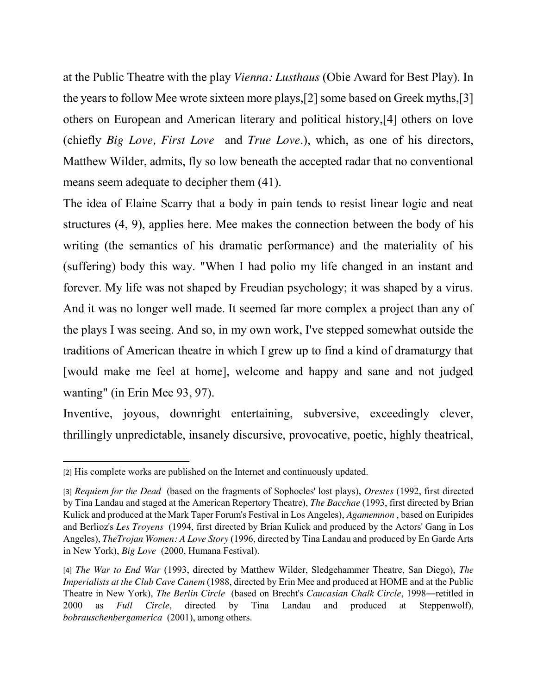at the Public Theatre with the play *Vienna: Lusthaus* (Obie Award for Best Play). In the years to follow Mee wrote sixteen more plays,[2] some based on Greek myths,[3] others on European and American literary and political history,[4] others on love (chiefly *Big Love, First Love* and *True Love*.), which, as one of his directors, Matthew Wilder, admits, fly so low beneath the accepted radar that no conventional means seem adequate to decipher them (41).

The idea of Elaine Scarry that a body in pain tends to resist linear logic and neat structures (4, 9), applies here. Mee makes the connection between the body of his writing (the semantics of his dramatic performance) and the materiality of his (suffering) body this way. "When I had polio my life changed in an instant and forever. My life was not shaped by Freudian psychology; it was shaped by a virus. And it was no longer well made. It seemed far more complex a project than any of the plays I was seeing. And so, in my own work, I've stepped somewhat outside the traditions of American theatre in which I grew up to find a kind of dramaturgy that [would make me feel at home], welcome and happy and sane and not judged wanting" (in Erin Mee 93, 97).

Inventive, joyous, downright entertaining, subversive, exceedingly clever, thrillingly unpredictable, insanely discursive, provocative, poetic, highly theatrical,

 $\overline{a}$ [2] His complete works are published on the Internet and continuously updated.

<sup>[3]</sup> *Requiem for the Dead* (based on the fragments of Sophocles' lost plays), *Orestes* (1992, first directed by Tina Landau and staged at the American Repertory Theatre), *The Bacchae* (1993, first directed by Brian Kulick and produced at the Mark Taper Forum's Festival in Los Angeles), *Agamemnon* , based on Euripides and Berlioz's *Les Troyens* (1994, first directed by Brian Kulick and produced by the Actors' Gang in Los Angeles), *TheTrojan Women: A Love Story* (1996, directed by Tina Landau and produced by En Garde Arts in New York), *Big Love* (2000, Humana Festival).

<sup>[4]</sup> *The War to End War* (1993, directed by Matthew Wilder, Sledgehammer Theatre, San Diego), *The Imperialists at the Club Cave Canem* (1988, directed by Erin Mee and produced at HOME and at the Public Theatre in New York), *The Berlin Circle* (based on Brecht's *Caucasian Chalk Circle*, 1998―retitled in 2000 as *Full Circle*, directed by Tina Landau and produced at Steppenwolf), *bobrauschenbergamerica* (2001), among others.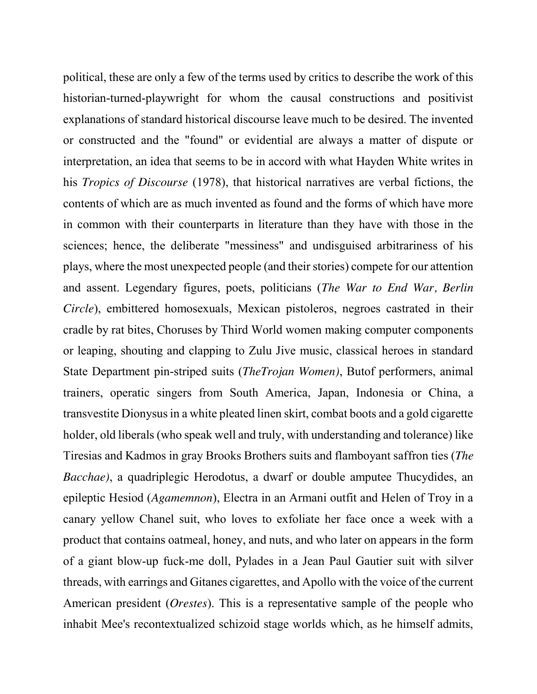political, these are only a few of the terms used by critics to describe the work of this historian-turned-playwright for whom the causal constructions and positivist explanations of standard historical discourse leave much to be desired. The invented or constructed and the "found" or evidential are always a matter of dispute or interpretation, an idea that seems to be in accord with what Hayden White writes in his *Tropics of Discourse* (1978), that historical narratives are verbal fictions, the contents of which are as much invented as found and the forms of which have more in common with their counterparts in literature than they have with those in the sciences; hence, the deliberate "messiness" and undisguised arbitrariness of his plays, where the most unexpected people (and their stories) compete for our attention and assent. Legendary figures, poets, politicians (*The War to End War, Berlin Circle*), embittered homosexuals, Mexican pistoleros, negroes castrated in their cradle by rat bites, Choruses by Third World women making computer components or leaping, shouting and clapping to Zulu Jive music, classical heroes in standard State Department pin-striped suits (*TheTrojan Women)*, Butof performers, animal trainers, operatic singers from South America, Japan, Indonesia or China, a transvestite Dionysus in a white pleated linen skirt, combat boots and a gold cigarette holder, old liberals (who speak well and truly, with understanding and tolerance) like Tiresias and Kadmos in gray Brooks Brothers suits and flamboyant saffron ties (*The Bacchae)*, a quadriplegic Herodotus, a dwarf or double amputee Thucydides, an epileptic Hesiod (*Agamemnon*), Electra in an Armani outfit and Helen of Troy in a canary yellow Chanel suit, who loves to exfoliate her face once a week with a product that contains oatmeal, honey, and nuts, and who later on appears in the form of a giant blow-up fuck-me doll, Pylades in a Jean Paul Gautier suit with silver threads, with earrings and Gitanes cigarettes, and Apollo with the voice of the current American president (*Orestes*). This is a representative sample of the people who inhabit Mee's recontextualized schizoid stage worlds which, as he himself admits,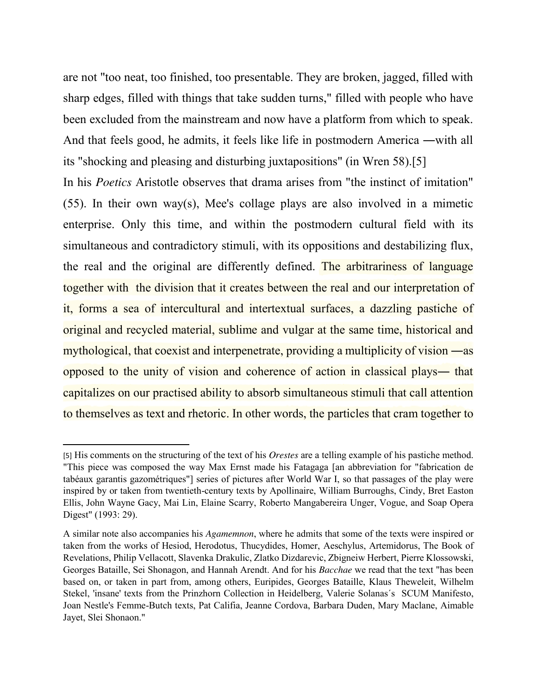are not "too neat, too finished, too presentable. They are broken, jagged, filled with sharp edges, filled with things that take sudden turns," filled with people who have been excluded from the mainstream and now have a platform from which to speak. And that feels good, he admits, it feels like life in postmodern America ―with all its "shocking and pleasing and disturbing juxtapositions" (in Wren 58).[5]

In his *Poetics* Aristotle observes that drama arises from "the instinct of imitation" (55). In their own way(s), Mee's collage plays are also involved in a mimetic enterprise. Only this time, and within the postmodern cultural field with its simultaneous and contradictory stimuli, with its oppositions and destabilizing flux, the real and the original are differently defined. The arbitrariness of language together with the division that it creates between the real and our interpretation of it, forms a sea of intercultural and intertextual surfaces, a dazzling pastiche of original and recycled material, sublime and vulgar at the same time, historical and mythological, that coexist and interpenetrate, providing a multiplicity of vision ―as opposed to the unity of vision and coherence of action in classical plays― that capitalizes on our practised ability to absorb simultaneous stimuli that call attention to themselves as text and rhetoric. In other words, the particles that cram together to

 $\overline{\phantom{a}}$ 

<sup>[5]</sup> His comments on the structuring of the text of his *Orestes* are a telling example of his pastiche method. "This piece was composed the way Max Ernst made his Fatagaga [an abbreviation for "fabrication de tabéaux garantis gazométriques"] series of pictures after World War I, so that passages of the play were inspired by or taken from twentieth-century texts by Apollinaire, William Burroughs, Cindy, Bret Easton Ellis, John Wayne Gacy, Mai Lin, Elaine Scarry, Roberto Mangabereira Unger, Vogue, and Soap Opera Digest" (1993: 29).

A similar note also accompanies his *Agamemnon*, where he admits that some of the texts were inspired or taken from the works of Hesiod, Herodotus, Thucydides, Homer, Aeschylus, Artemidorus, The Book of Revelations, Philip Vellacott, Slavenka Drakulic, Zlatko Dizdarevic, Zbigneiw Herbert, Pierre Klossowski, Georges Bataille, Sei Shonagon, and Hannah Arendt. And for his *Bacchae* we read that the text "has been based on, or taken in part from, among others, Euripides, Georges Bataille, Klaus Theweleit, Wilhelm Stekel, 'insane' texts from the Prinzhorn Collection in Heidelberg, Valerie Solanas΄s SCUM Manifesto, Joan Nestle's Femme-Butch texts, Pat Califia, Jeanne Cordova, Barbara Duden, Mary Maclane, Aimable Jayet, Slei Shonaon."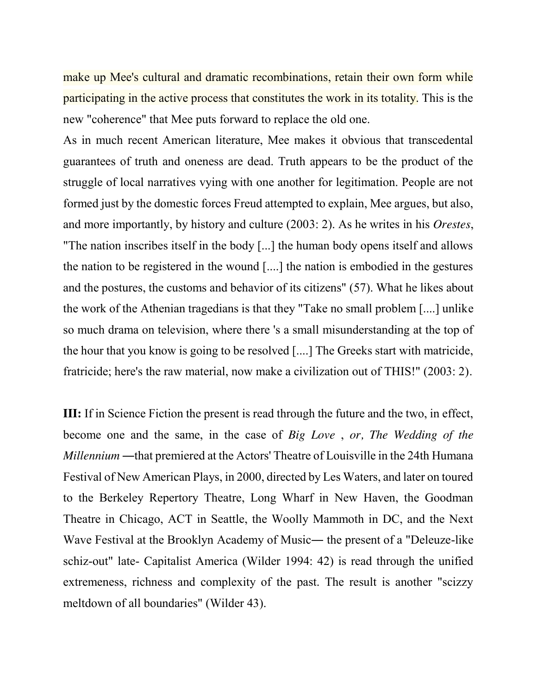make up Mee's cultural and dramatic recombinations, retain their own form while participating in the active process that constitutes the work in its totality. This is the new "coherence" that Mee puts forward to replace the old one.

As in much recent American literature, Mee makes it obvious that transcedental guarantees of truth and oneness are dead. Truth appears to be the product of the struggle of local narratives vying with one another for legitimation. People are not formed just by the domestic forces Freud attempted to explain, Mee argues, but also, and more importantly, by history and culture (2003: 2). As he writes in his *Orestes*, "The nation inscribes itself in the body [...] the human body opens itself and allows the nation to be registered in the wound [....] the nation is embodied in the gestures and the postures, the customs and behavior of its citizens" (57). What he likes about the work of the Athenian tragedians is that they "Take no small problem [....] unlike so much drama on television, where there 's a small misunderstanding at the top of the hour that you know is going to be resolved [....] The Greeks start with matricide, fratricide; here's the raw material, now make a civilization out of THIS!" (2003: 2).

**III:** If in Science Fiction the present is read through the future and the two, in effect, become one and the same, in the case of *Big Love* , *or, The Wedding of the Millennium* — that premiered at the Actors' Theatre of Louisville in the 24th Humana Festival of New American Plays, in 2000, directed by Les Waters, and later on toured to the Berkeley Repertory Theatre, Long Wharf in New Haven, the Goodman Theatre in Chicago, ACT in Seattle, the Woolly Mammoth in DC, and the Next Wave Festival at the Brooklyn Academy of Music― the present of a "Deleuze-like schiz-out" late- Capitalist America (Wilder 1994: 42) is read through the unified extremeness, richness and complexity of the past. The result is another "scizzy meltdown of all boundaries" (Wilder 43).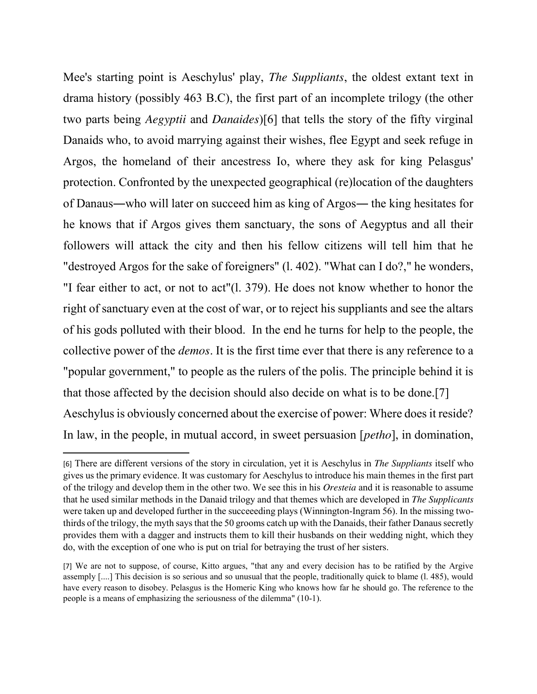Mee's starting point is Aeschylus' play, *The Suppliants*, the oldest extant text in drama history (possibly 463 B.C), the first part of an incomplete trilogy (the other two parts being *Aegyptii* and *Danaides*)[6] that tells the story of the fifty virginal Danaids who, to avoid marrying against their wishes, flee Egypt and seek refuge in Argos, the homeland of their ancestress Io, where they ask for king Pelasgus' protection. Confronted by the unexpected geographical (re)location of the daughters of Danaus―who will later on succeed him as king of Argos― the king hesitates for he knows that if Argos gives them sanctuary, the sons of Aegyptus and all their followers will attack the city and then his fellow citizens will tell him that he "destroyed Argos for the sake of foreigners" (l. 402). "What can I do?," he wonders, "I fear either to act, or not to act"(l. 379). He does not know whether to honor the right of sanctuary even at the cost of war, or to reject his suppliants and see the altars of his gods polluted with their blood. In the end he turns for help to the people, the collective power of the *demos*. It is the first time ever that there is any reference to a "popular government," to people as the rulers of the polis. The principle behind it is that those affected by the decision should also decide on what is to be done.[7] Aeschylus is obviously concerned about the exercise of power: Where does it reside? In law, in the people, in mutual accord, in sweet persuasion [*petho*], in domination,

 $\overline{a}$ 

<sup>[6]</sup> There are different versions of the story in circulation, yet it is Aeschylus in *The Suppliants* itself who gives us the primary evidence. It was customary for Aeschylus to introduce his main themes in the first part of the trilogy and develop them in the other two. We see this in his *Oresteia* and it is reasonable to assume that he used similar methods in the Danaid trilogy and that themes which are developed in *The Supplicants* were taken up and developed further in the succeeeding plays (Winnington-Ingram 56). In the missing twothirds of the trilogy, the myth says that the 50 grooms catch up with the Danaids, their father Danaus secretly provides them with a dagger and instructs them to kill their husbands on their wedding night, which they do, with the exception of one who is put on trial for betraying the trust of her sisters.

<sup>[7]</sup> We are not to suppose, of course, Kitto argues, "that any and every decision has to be ratified by the Argive assemply [....] This decision is so serious and so unusual that the people, traditionally quick to blame (l. 485), would have every reason to disobey. Pelasgus is the Homeric King who knows how far he should go. The reference to the people is a means of emphasizing the seriousness of the dilemma" (10-1).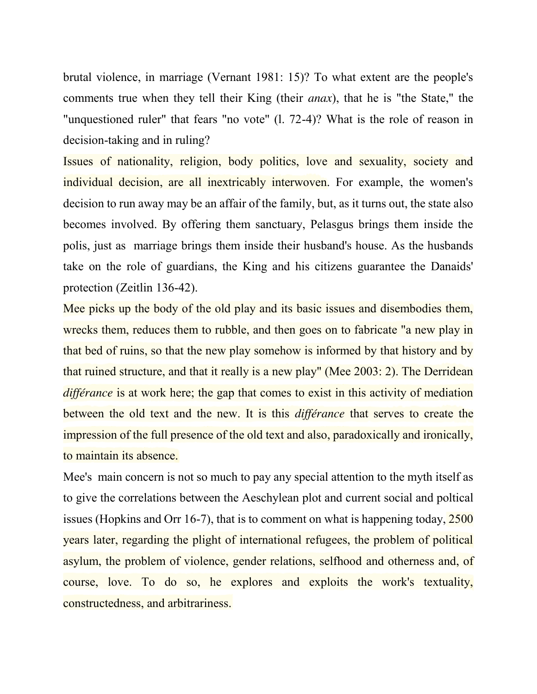brutal violence, in marriage (Vernant 1981: 15)? To what extent are the people's comments true when they tell their King (their *anax*), that he is "the State," the "unquestioned ruler" that fears "no vote" (l. 72-4)? What is the role of reason in decision-taking and in ruling?

Issues of nationality, religion, body politics, love and sexuality, society and individual decision, are all inextricably interwoven. For example, the women's decision to run away may be an affair of the family, but, as it turns out, the state also becomes involved. By offering them sanctuary, Pelasgus brings them inside the polis, just as marriage brings them inside their husband's house. As the husbands take on the role of guardians, the King and his citizens guarantee the Danaids' protection (Zeitlin 136-42).

Mee picks up the body of the old play and its basic issues and disembodies them, wrecks them, reduces them to rubble, and then goes on to fabricate "a new play in that bed of ruins, so that the new play somehow is informed by that history and by that ruined structure, and that it really is a new play" (Mee 2003: 2). The Derridean *différance* is at work here; the gap that comes to exist in this activity of mediation between the old text and the new. It is this *différance* that serves to create the impression of the full presence of the old text and also, paradoxically and ironically, to maintain its absence.

Mee's main concern is not so much to pay any special attention to the myth itself as to give the correlations between the Aeschylean plot and current social and poltical issues (Hopkins and Orr 16-7), that is to comment on what is happening today, 2500 years later, regarding the plight of international refugees, the problem of political asylum, the problem of violence, gender relations, selfhood and otherness and, of course, love. To do so, he explores and exploits the work's textuality, constructedness, and arbitrariness.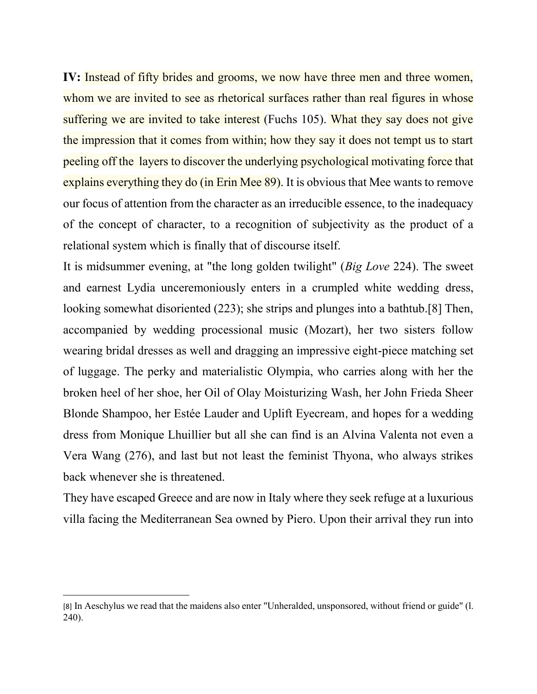**IV:** Instead of fifty brides and grooms, we now have three men and three women, whom we are invited to see as rhetorical surfaces rather than real figures in whose suffering we are invited to take interest (Fuchs 105). What they say does not give the impression that it comes from within; how they say it does not tempt us to start peeling off the layers to discover the underlying psychological motivating force that explains everything they do (in Erin Mee 89). It is obvious that Mee wants to remove our focus of attention from the character as an irreducible essence, to the inadequacy of the concept of character, to a recognition of subjectivity as the product of a relational system which is finally that of discourse itself.

It is midsummer evening, at "the long golden twilight" (*Big Love* 224). The sweet and earnest Lydia unceremoniously enters in a crumpled white wedding dress, looking somewhat disoriented (223); she strips and plunges into a bathtub.[8] Then, accompanied by wedding processional music (Mozart), her two sisters follow wearing bridal dresses as well and dragging an impressive eight-piece matching set of luggage. The perky and materialistic Olympia, who carries along with her the broken heel of her shoe, her Oil of Olay Moisturizing Wash, her John Frieda Sheer Blonde Shampoo, her Estée Lauder and Uplift Eyecream*,* and hopes for a wedding dress from Monique Lhuillier but all she can find is an Alvina Valenta not even a Vera Wang (276), and last but not least the feminist Thyona, who always strikes back whenever she is threatened.

They have escaped Greece and are now in Italy where they seek refuge at a luxurious villa facing the Mediterranean Sea owned by Piero. Upon their arrival they run into

 $\overline{a}$ 

<sup>[8]</sup> In Aeschylus we read that the maidens also enter "Unheralded, unsponsored, without friend or guide" (l. 240).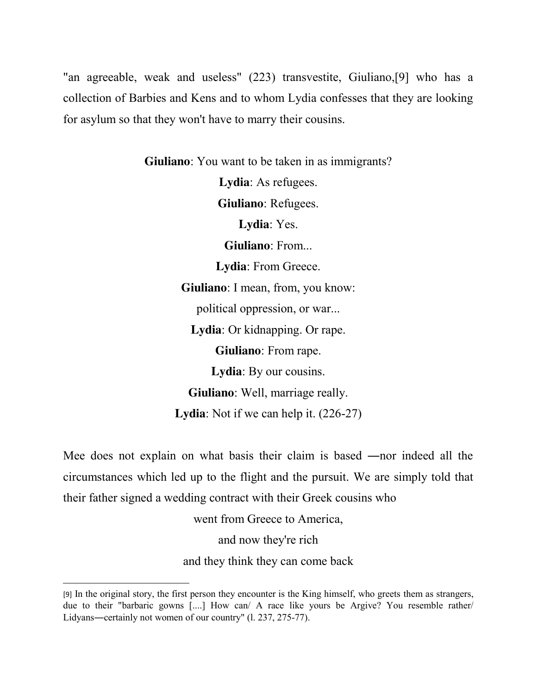"an agreeable, weak and useless" (223) transvestite, Giuliano,[9] who has a collection of Barbies and Kens and to whom Lydia confesses that they are looking for asylum so that they won't have to marry their cousins.

> **Giuliano**: You want to be taken in as immigrants? **Lydia**: As refugees. **Giuliano**: Refugees. **Lydia**: Yes. **Giuliano**: From... **Lydia**: From Greece. **Giuliano**: I mean, from, you know: political oppression, or war... **Lydia**: Or kidnapping. Or rape. **Giuliano**: From rape. **Lydia**: By our cousins. **Giuliano**: Well, marriage really. Lydia: Not if we can help it.  $(226-27)$

Mee does not explain on what basis their claim is based ―nor indeed all the circumstances which led up to the flight and the pursuit. We are simply told that their father signed a wedding contract with their Greek cousins who

went from Greece to America,

and now they're rich

and they think they can come back

 $\overline{\phantom{a}}$ 

<sup>[9]</sup> In the original story, the first person they encounter is the King himself, who greets them as strangers, due to their "barbaric gowns [....] How can/ A race like yours be Argive? You resemble rather/ Lidyans―certainly not women of our country" (l. 237, 275-77).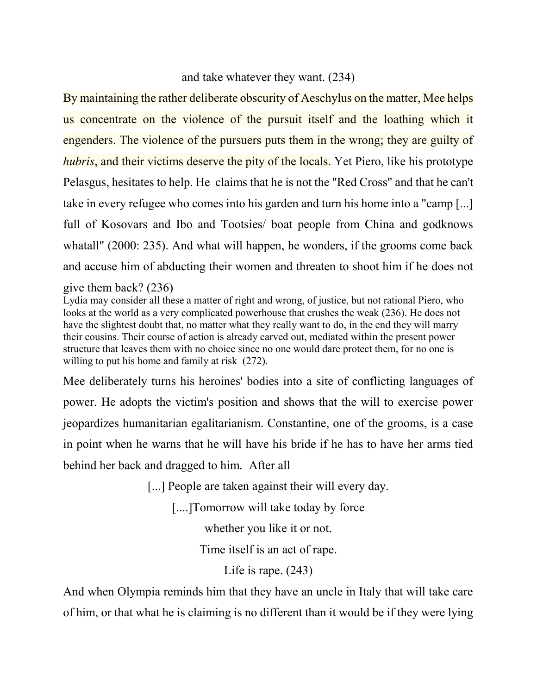## and take whatever they want. (234)

By maintaining the rather deliberate obscurity of Aeschylus on the matter, Mee helps us concentrate on the violence of the pursuit itself and the loathing which it engenders. The violence of the pursuers puts them in the wrong; they are guilty of *hubris*, and their victims deserve the pity of the locals. Yet Piero, like his prototype Pelasgus, hesitates to help. He claims that he is not the "Red Cross" and that he can't take in every refugee who comes into his garden and turn his home into a "camp [...] full of Kosovars and Ibo and Tootsies/ boat people from China and godknows whatall" (2000: 235). And what will happen, he wonders, if the grooms come back and accuse him of abducting their women and threaten to shoot him if he does not give them back? (236)

Lydia may consider all these a matter of right and wrong, of justice, but not rational Piero, who looks at the world as a very complicated powerhouse that crushes the weak (236). He does not have the slightest doubt that, no matter what they really want to do, in the end they will marry their cousins. Their course of action is already carved out, mediated within the present power structure that leaves them with no choice since no one would dare protect them, for no one is willing to put his home and family at risk (272).

Mee deliberately turns his heroines' bodies into a site of conflicting languages of power. He adopts the victim's position and shows that the will to exercise power jeopardizes humanitarian egalitarianism. Constantine, one of the grooms, is a case in point when he warns that he will have his bride if he has to have her arms tied behind her back and dragged to him. After all

[...] People are taken against their will every day.

[....] Tomorrow will take today by force

whether you like it or not.

Time itself is an act of rape.

Life is rape. (243)

And when Olympia reminds him that they have an uncle in Italy that will take care of him, or that what he is claiming is no different than it would be if they were lying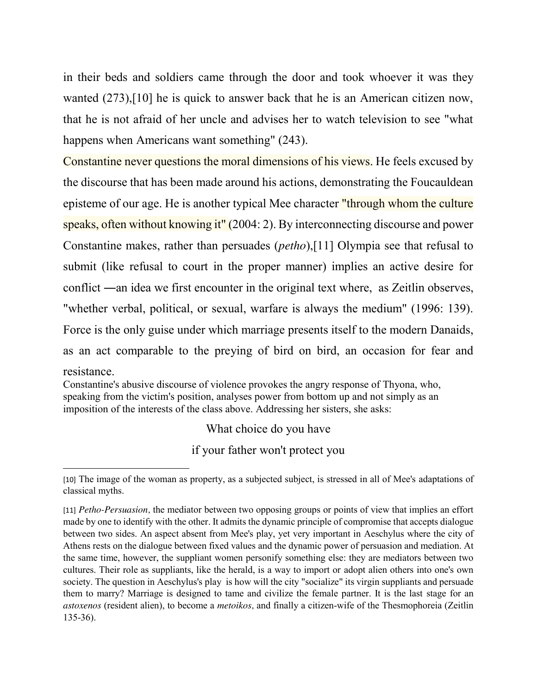in their beds and soldiers came through the door and took whoever it was they wanted (273),[10] he is quick to answer back that he is an American citizen now, that he is not afraid of her uncle and advises her to watch television to see "what happens when Americans want something" (243).

Constantine never questions the moral dimensions of his views. He feels excused by the discourse that has been made around his actions, demonstrating the Foucauldean episteme of our age. He is another typical Mee character "through whom the culture speaks, often without knowing it" (2004: 2). By interconnecting discourse and power Constantine makes, rather than persuades (*petho*),[11] Olympia see that refusal to submit (like refusal to court in the proper manner) implies an active desire for conflict ―an idea we first encounter in the original text where, as Zeitlin observes, "whether verbal, political, or sexual, warfare is always the medium" (1996: 139). Force is the only guise under which marriage presents itself to the modern Danaids, as an act comparable to the preying of bird on bird, an occasion for fear and resistance.

Constantine's abusive discourse of violence provokes the angry response of Thyona, who, speaking from the victim's position, analyses power from bottom up and not simply as an imposition of the interests of the class above. Addressing her sisters, she asks:

 $\overline{\phantom{a}}$ 

What choice do you have

if your father won't protect you

<sup>[10]</sup> The image of the woman as property, as a subjected subject, is stressed in all of Mee's adaptations of classical myths.

<sup>[11]</sup> *Petho-Persuasion,* the mediator between two opposing groups or points of view that implies an effort made by one to identify with the other. It admits the dynamic principle of compromise that accepts dialogue between two sides. An aspect absent from Mee's play, yet very important in Aeschylus where the city of Athens rests on the dialogue between fixed values and the dynamic power of persuasion and mediation. At the same time, however, the suppliant women personify something else: they are mediators between two cultures. Their role as suppliants, like the herald, is a way to import or adopt alien others into one's own society. The question in Aeschylus's play is how will the city "socialize" its virgin suppliants and persuade them to marry? Marriage is designed to tame and civilize the female partner. It is the last stage for an *astoxenos* (resident alien), to become a *metoikos,* and finally a citizen-wife of the Thesmophoreia (Zeitlin 135-36).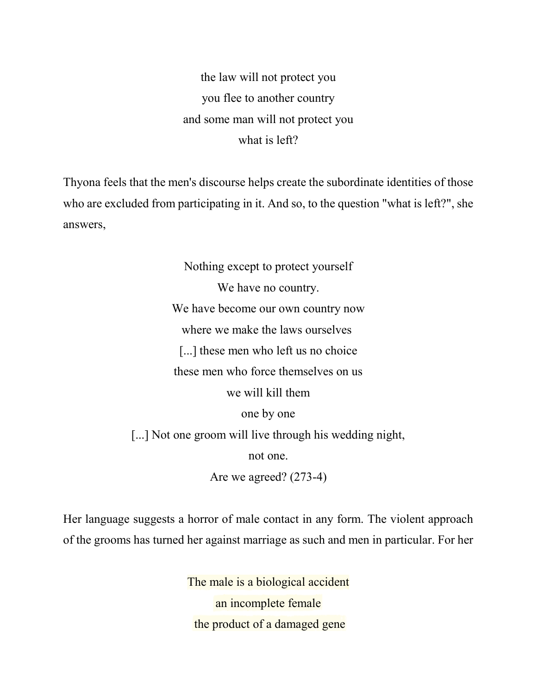the law will not protect you you flee to another country and some man will not protect you what is left?

Thyona feels that the men's discourse helps create the subordinate identities of those who are excluded from participating in it. And so, to the question "what is left?", she answers,

> Nothing except to protect yourself We have no country. We have become our own country now where we make the laws ourselves [...] these men who left us no choice these men who force themselves on us we will kill them one by one [...] Not one groom will live through his wedding night, not one. Are we agreed? (273-4)

Her language suggests a horror of male contact in any form. The violent approach of the grooms has turned her against marriage as such and men in particular. For her

> The male is a biological accident an incomplete female the product of a damaged gene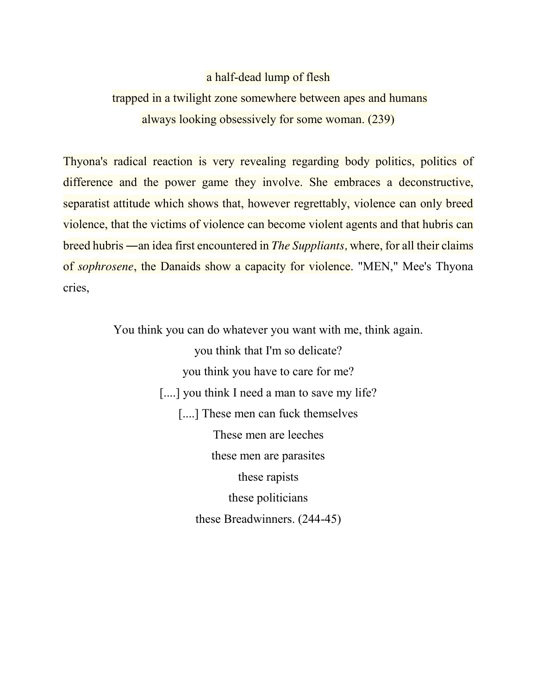# a half-dead lump of flesh trapped in a twilight zone somewhere between apes and humans always looking obsessively for some woman. (239)

Thyona's radical reaction is very revealing regarding body politics, politics of difference and the power game they involve. She embraces a deconstructive, separatist attitude which shows that, however regrettably, violence can only breed violence, that the victims of violence can become violent agents and that hubris can breed hubris ―an idea first encountered in *The Suppliants,* where, for all their claims of *sophrosene*, the Danaids show a capacity for violence. "MEN," Mee's Thyona cries,

You think you can do whatever you want with me, think again.

you think that I'm so delicate? you think you have to care for me? [....] you think I need a man to save my life? [....] These men can fuck themselves These men are leeches these men are parasites these rapists these politicians these Breadwinners. (244-45)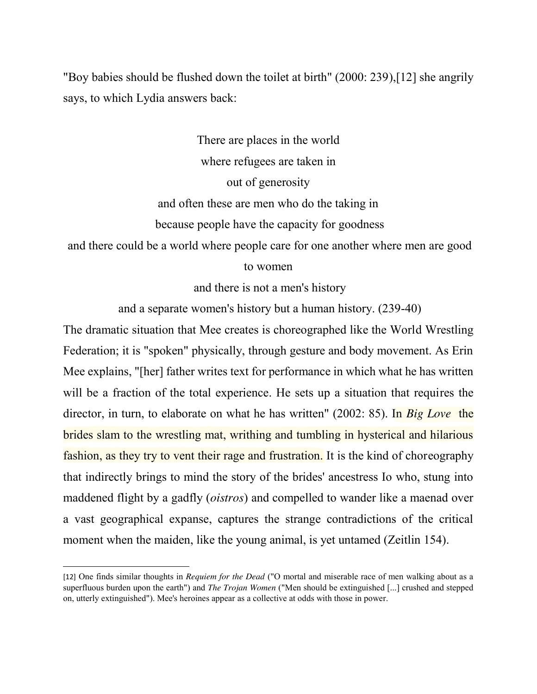"Boy babies should be flushed down the toilet at birth" (2000: 239),[12] she angrily says, to which Lydia answers back:

> There are places in the world where refugees are taken in out of generosity and often these are men who do the taking in because people have the capacity for goodness

and there could be a world where people care for one another where men are good

#### to women

and there is not a men's history

and a separate women's history but a human history. (239-40)

The dramatic situation that Mee creates is choreographed like the World Wrestling Federation; it is "spoken" physically, through gesture and body movement. As Erin Mee explains, "[her] father writes text for performance in which what he has written will be a fraction of the total experience. He sets up a situation that requires the director, in turn, to elaborate on what he has written" (2002: 85). In *Big Love* the brides slam to the wrestling mat, writhing and tumbling in hysterical and hilarious fashion, as they try to vent their rage and frustration. It is the kind of choreography that indirectly brings to mind the story of the brides' ancestress Io who, stung into maddened flight by a gadfly (*oistros*) and compelled to wander like a maenad over a vast geographical expanse, captures the strange contradictions of the critical moment when the maiden, like the young animal, is yet untamed (Zeitlin 154).

 $\overline{a}$ 

<sup>[12]</sup> One finds similar thoughts in *Requiem for the Dead* ("O mortal and miserable race of men walking about as a superfluous burden upon the earth") and *The Trojan Women* ("Men should be extinguished [...] crushed and stepped on, utterly extinguished"). Mee's heroines appear as a collective at odds with those in power.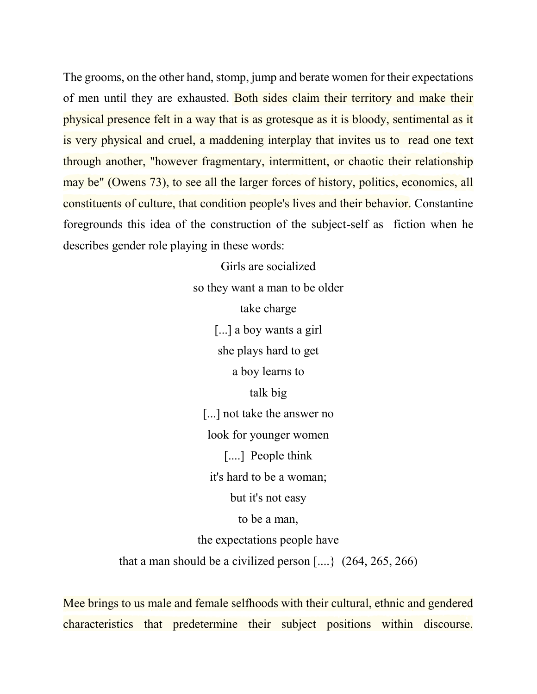The grooms, on the other hand, stomp, jump and berate women for their expectations of men until they are exhausted. Both sides claim their territory and make their physical presence felt in a way that is as grotesque as it is bloody, sentimental as it is very physical and cruel, a maddening interplay that invites us to read one text through another, "however fragmentary, intermittent, or chaotic their relationship may be" (Owens 73), to see all the larger forces of history, politics, economics, all constituents of culture, that condition people's lives and their behavior. Constantine foregrounds this idea of the construction of the subject-self as fiction when he describes gender role playing in these words:

> Girls are socialized so they want a man to be older take charge [...] a boy wants a girl she plays hard to get a boy learns to talk big [...] not take the answer no look for younger women [....] People think it's hard to be a woman; but it's not easy to be a man, the expectations people have

that a man should be a civilized person  $[....]$   $(264, 265, 266)$ 

Mee brings to us male and female selfhoods with their cultural, ethnic and gendered characteristics that predetermine their subject positions within discourse.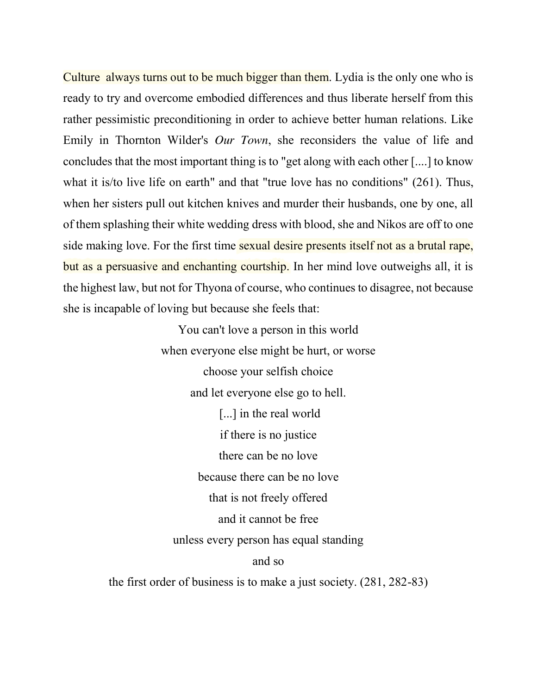Culture always turns out to be much bigger than them. Lydia is the only one who is ready to try and overcome embodied differences and thus liberate herself from this rather pessimistic preconditioning in order to achieve better human relations. Like Emily in Thornton Wilder's *Our Town*, she reconsiders the value of life and concludes that the most important thing is to "get along with each other [....] to know what it is/to live life on earth" and that "true love has no conditions" (261). Thus, when her sisters pull out kitchen knives and murder their husbands, one by one, all of them splashing their white wedding dress with blood, she and Nikos are off to one side making love. For the first time sexual desire presents itself not as a brutal rape, but as a persuasive and enchanting courtship. In her mind love outweighs all, it is the highest law, but not for Thyona of course, who continues to disagree, not because she is incapable of loving but because she feels that:

> You can't love a person in this world when everyone else might be hurt, or worse choose your selfish choice and let everyone else go to hell. [...] in the real world if there is no justice there can be no love because there can be no love that is not freely offered and it cannot be free unless every person has equal standing and so the first order of business is to make a just society. (281, 282-83)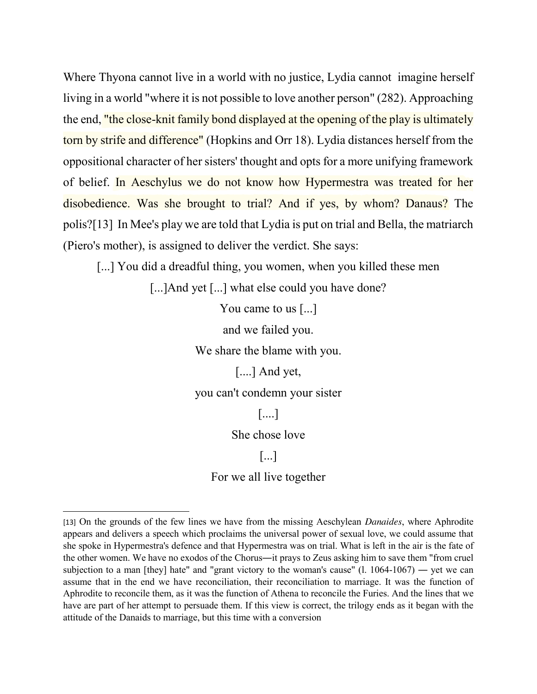Where Thyona cannot live in a world with no justice, Lydia cannot imagine herself living in a world "where it is not possible to love another person" (282). Approaching the end, "the close-knit family bond displayed at the opening of the play is ultimately torn by strife and difference" (Hopkins and Orr 18). Lydia distances herself from the oppositional character of her sisters' thought and opts for a more unifying framework of belief. In Aeschylus we do not know how Hypermestra was treated for her disobedience. Was she brought to trial? And if yes, by whom? Danaus? The polis?[13] In Mee's play we are told that Lydia is put on trial and Bella, the matriarch (Piero's mother), is assigned to deliver the verdict. She says:

[...] You did a dreadful thing, you women, when you killed these men

[...]And yet [...] what else could you have done?

You came to us [...]

and we failed you.

We share the blame with you.

[....] And yet,

you can't condemn your sister

[....]

She chose love

[...]

For we all live together

 $\overline{a}$ 

<sup>[13]</sup> On the grounds of the few lines we have from the missing Aeschylean *Danaides*, where Aphrodite appears and delivers a speech which proclaims the universal power of sexual love, we could assume that she spoke in Hypermestra's defence and that Hypermestra was on trial. What is left in the air is the fate of the other women. We have no exodos of the Chorus―it prays to Zeus asking him to save them "from cruel subjection to a man [they] hate" and "grant victory to the woman's cause"  $(1. 1064-1067)$  — yet we can assume that in the end we have reconciliation, their reconciliation to marriage. It was the function of Aphrodite to reconcile them, as it was the function of Athena to reconcile the Furies. And the lines that we have are part of her attempt to persuade them. If this view is correct, the trilogy ends as it began with the attitude of the Danaids to marriage, but this time with a conversion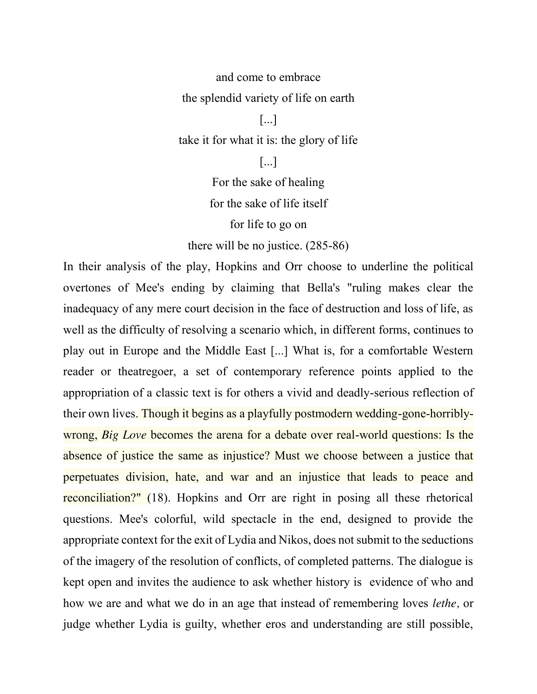# and come to embrace the splendid variety of life on earth [...] take it for what it is: the glory of life [...] For the sake of healing for the sake of life itself

for life to go on

there will be no justice. (285-86)

In their analysis of the play, Hopkins and Orr choose to underline the political overtones of Mee's ending by claiming that Bella's "ruling makes clear the inadequacy of any mere court decision in the face of destruction and loss of life, as well as the difficulty of resolving a scenario which, in different forms, continues to play out in Europe and the Middle East [...] What is, for a comfortable Western reader or theatregoer, a set of contemporary reference points applied to the appropriation of a classic text is for others a vivid and deadly-serious reflection of their own lives. Though it begins as a playfully postmodern wedding-gone-horriblywrong, *Big Love* becomes the arena for a debate over real-world questions: Is the absence of justice the same as injustice? Must we choose between a justice that perpetuates division, hate, and war and an injustice that leads to peace and reconciliation?" (18). Hopkins and Orr are right in posing all these rhetorical questions. Mee's colorful, wild spectacle in the end, designed to provide the appropriate context for the exit of Lydia and Nikos, does not submit to the seductions of the imagery of the resolution of conflicts, of completed patterns. The dialogue is kept open and invites the audience to ask whether history is evidence of who and how we are and what we do in an age that instead of remembering loves *lethe,* or judge whether Lydia is guilty, whether eros and understanding are still possible,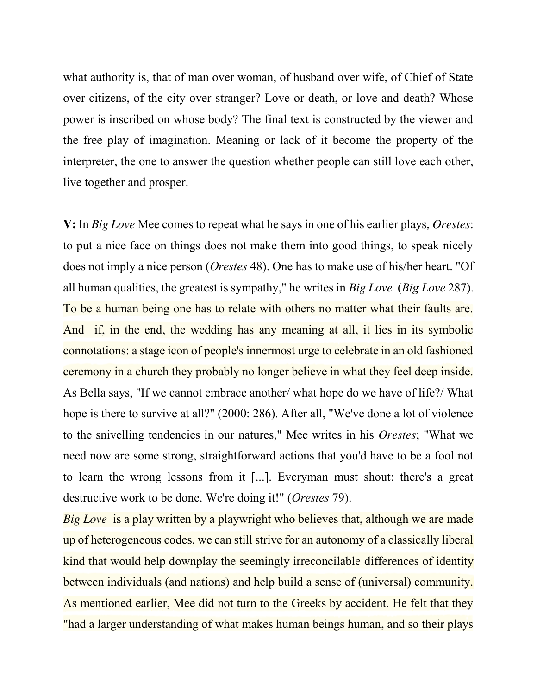what authority is, that of man over woman, of husband over wife, of Chief of State over citizens, of the city over stranger? Love or death, or love and death? Whose power is inscribed on whose body? The final text is constructed by the viewer and the free play of imagination. Meaning or lack of it become the property of the interpreter, the one to answer the question whether people can still love each other, live together and prosper.

**V:** In *Big Love* Mee comes to repeat what he says in one of his earlier plays, *Orestes*: to put a nice face on things does not make them into good things, to speak nicely does not imply a nice person (*Orestes* 48). One has to make use of his/her heart. "Of all human qualities, the greatest is sympathy," he writes in *Big Love* (*Big Love* 287). To be a human being one has to relate with others no matter what their faults are. And if, in the end, the wedding has any meaning at all, it lies in its symbolic connotations: a stage icon of people's innermost urge to celebrate in an old fashioned ceremony in a church they probably no longer believe in what they feel deep inside. As Bella says, "If we cannot embrace another/ what hope do we have of life?/ What hope is there to survive at all?" (2000: 286). After all, "We've done a lot of violence to the snivelling tendencies in our natures," Mee writes in his *Orestes*; "What we need now are some strong, straightforward actions that you'd have to be a fool not to learn the wrong lessons from it [...]. Everyman must shout: there's a great destructive work to be done. We're doing it!" (*Orestes* 79).

*Big Love* is a play written by a playwright who believes that, although we are made up of heterogeneous codes, we can still strive for an autonomy of a classically liberal kind that would help downplay the seemingly irreconcilable differences of identity between individuals (and nations) and help build a sense of (universal) community. As mentioned earlier, Mee did not turn to the Greeks by accident. He felt that they "had a larger understanding of what makes human beings human, and so their plays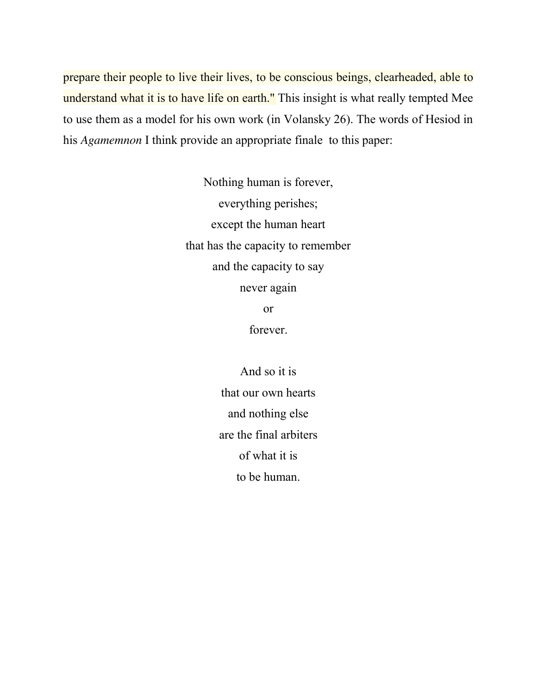prepare their people to live their lives, to be conscious beings, clearheaded, able to understand what it is to have life on earth." This insight is what really tempted Mee to use them as a model for his own work (in Volansky 26). The words of Hesiod in his *Agamemnon* I think provide an appropriate finale to this paper:

> Nothing human is forever, everything perishes; except the human heart that has the capacity to remember and the capacity to say never again

or

forever.

And so it is that our own hearts and nothing else are the final arbiters of what it is to be human.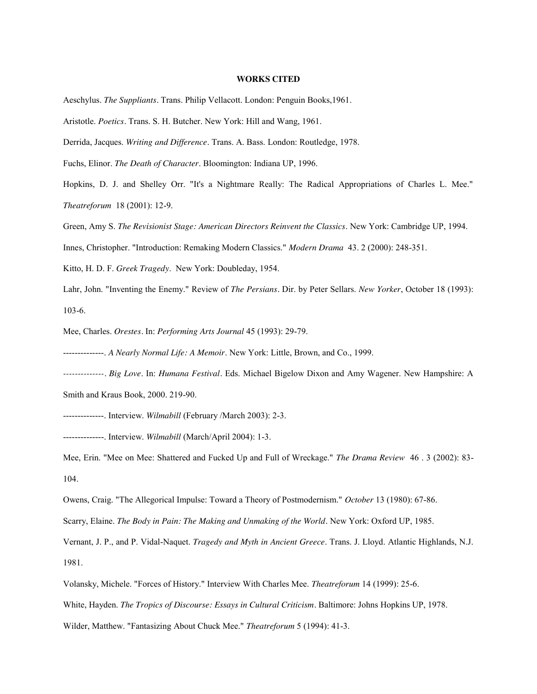#### **WORKS CITED**

Aeschylus. *The Suppliants.* Trans. Philip Vellacott. London: Penguin Books,1961.

Aristotle. *Poetics.* Trans. S. H. Butcher. New York: Hill and Wang, 1961.

Derrida, Jacques. *Writing and Difference*. Trans. A. Bass. London: Routledge, 1978.

Fuchs, Elinor. *The Death of Character*. Bloomington: Indiana UP, 1996.

Hopkins, D. J. and Shelley Orr. "It's a Nightmare Really: The Radical Appropriations of Charles L. Mee." *Theatreforum* 18 (2001): 12-9.

Green, Amy S. *The Revisionist Stage: American Directors Reinvent the Classics*. New York: Cambridge UP, 1994. Innes, Christopher. "Introduction: Remaking Modern Classics." *Modern Drama* 43. 2 (2000): 248-351.

Kitto, H. D. F. *Greek Tragedy*. New York: Doubleday, 1954.

Lahr, John. "Inventing the Enemy." Review of *The Persians.* Dir. by Peter Sellars. *New Yorker*, October 18 (1993): 103-6.

Mee, Charles. *Orestes.* In: *Performing Arts Journal* 45 (1993): 29-79.

--------------. *A Nearly Normal Life: A Memoir*. New York: Little, Brown, and Co., 1999.

*--------------. Big Love*. In: *Humana Festival.* Eds. Michael Bigelow Dixon and Amy Wagener. New Hampshire: A Smith and Kraus Book, 2000. 219-90.

--------------. Interview. *Wilmabill* (February /March 2003): 2-3.

--------------. Interview. *Wilmabill* (March/April 2004): 1-3.

Mee, Erin. "Mee on Mee: Shattered and Fucked Up and Full of Wreckage." *The Drama Review* 46 . 3 (2002): 83- 104.

Owens, Craig. "The Allegorical Impulse: Toward a Theory of Postmodernism." *October* 13 (1980): 67-86.

Scarry, Elaine. *The Body in Pain: The Making and Unmaking of the World.* New York: Oxford UP, 1985.

Vernant, J. P., and P. Vidal-Naquet. *Tragedy and Myth in Ancient Greece*. Trans. J. Lloyd. Atlantic Highlands, N.J. 1981.

Volansky, Michele. "Forces of History." Interview With Charles Mee. *Theatreforum* 14 (1999): 25-6.

White, Hayden. *The Tropics of Discourse: Essays in Cultural Criticism*. Baltimore: Johns Hopkins UP, 1978.

Wilder, Matthew. "Fantasizing About Chuck Mee." *Theatreforum* 5 (1994): 41-3.